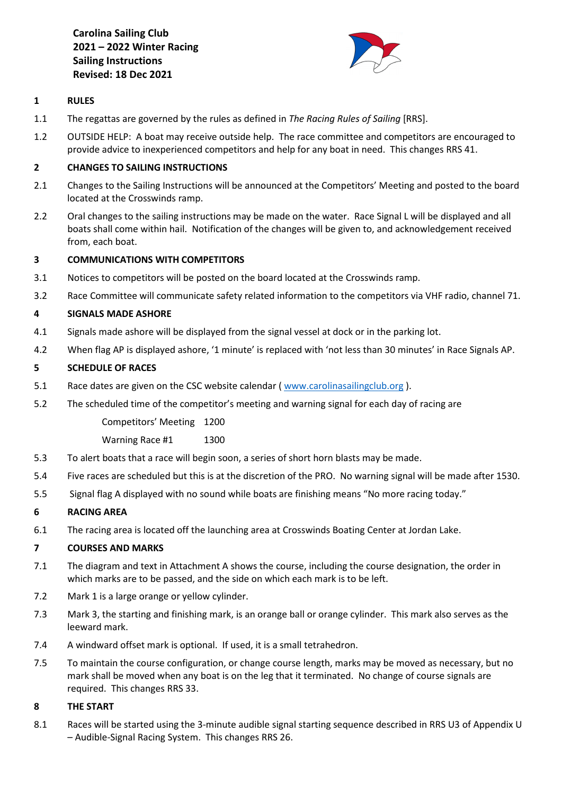**Carolina Sailing Club 2021 – 2022 Winter Racing Sailing Instructions Revised: 18 Dec 2021**



## **1 RULES**

- 1.1 The regattas are governed by the rules as defined in *The Racing Rules of Sailing* [RRS].
- 1.2 OUTSIDE HELP: A boat may receive outside help. The race committee and competitors are encouraged to provide advice to inexperienced competitors and help for any boat in need. This changes RRS 41.

# **2 CHANGES TO SAILING INSTRUCTIONS**

- 2.1 Changes to the Sailing Instructions will be announced at the Competitors' Meeting and posted to the board located at the Crosswinds ramp.
- 2.2 Oral changes to the sailing instructions may be made on the water. Race Signal L will be displayed and all boats shall come within hail. Notification of the changes will be given to, and acknowledgement received from, each boat.

# **3 COMMUNICATIONS WITH COMPETITORS**

- 3.1 Notices to competitors will be posted on the board located at the Crosswinds ramp.
- 3.2 Race Committee will communicate safety related information to the competitors via VHF radio, channel 71.

# **4 SIGNALS MADE ASHORE**

- 4.1 Signals made ashore will be displayed from the signal vessel at dock or in the parking lot.
- 4.2 When flag AP is displayed ashore, '1 minute' is replaced with 'not less than 30 minutes' in Race Signals AP.

# **5 SCHEDULE OF RACES**

- 5.1 Race dates are given on the CSC website calendar ( [www.carolinasailingclub.org](http://www.carolinasailingclub.org/) ).
- 5.2 The scheduled time of the competitor's meeting and warning signal for each day of racing are

Competitors' Meeting 1200

Warning Race #1 1300

- 5.3 To alert boats that a race will begin soon, a series of short horn blasts may be made.
- 5.4 Five races are scheduled but this is at the discretion of the PRO. No warning signal will be made after 1530.
- 5.5 Signal flag A displayed with no sound while boats are finishing means "No more racing today."

## **6 RACING AREA**

6.1 The racing area is located off the launching area at Crosswinds Boating Center at Jordan Lake.

## **7 COURSES AND MARKS**

- 7.1 The diagram and text in Attachment A shows the course, including the course designation, the order in which marks are to be passed, and the side on which each mark is to be left.
- 7.2 Mark 1 is a large orange or yellow cylinder.
- 7.3 Mark 3, the starting and finishing mark, is an orange ball or orange cylinder. This mark also serves as the leeward mark.
- 7.4 A windward offset mark is optional. If used, it is a small tetrahedron.
- 7.5 To maintain the course configuration, or change course length, marks may be moved as necessary, but no mark shall be moved when any boat is on the leg that it terminated. No change of course signals are required. This changes RRS 33.

## **8 THE START**

8.1 Races will be started using the 3-minute audible signal starting sequence described in RRS U3 of Appendix U – Audible-Signal Racing System. This changes RRS 26.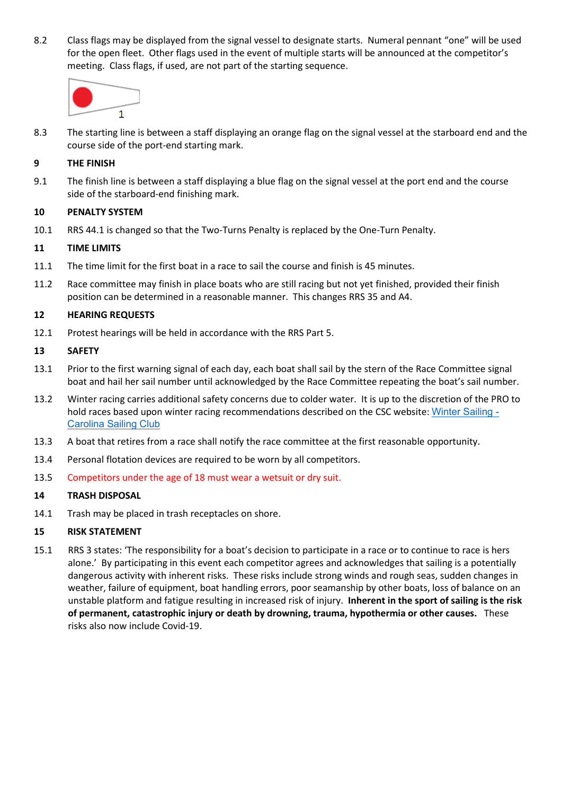8.2 Class flags may be displayed from the signal vessel to designate starts. Numeral pennant "one" will be used for the open fleet. Other flags used in the event of multiple starts will be announced at the competitor's meeting. Class flags, if used, are not part of the starting sequence.



8.3 The starting line is between a staff displaying an orange flag on the signal vessel at the starboard end and the course side of the port-end starting mark.

### **9 THE FINISH**

9.1 The finish line is between a staff displaying a blue flag on the signal vessel at the port end and the course side of the starboard-end finishing mark.

#### **10 PENALTY SYSTEM**

10.1 RRS 44.1 is changed so that the Two-Turns Penalty is replaced by the One-Turn Penalty.

#### **11 TIME LIMITS**

- 11.1 The time limit for the first boat in a race to sail the course and finish is 45 minutes.
- 11.2 Race committee may finish in place boats who are still racing but not yet finished, provided their finish position can be determined in a reasonable manner. This changes RRS 35 and A4.

#### **12 HEARING REQUESTS**

12.1 Protest hearings will be held in accordance with the RRS Part 5.

#### **13 SAFETY**

- 13.1 Prior to the first warning signal of each day, each boat shall sail by the stern of the Race Committee signal boat and hail her sail number until acknowledged by the Race Committee repeating the boat's sail number.
- 13.2 Winter racing carries additional safety concerns due to colder water. It is up to the discretion of the PRO to hold races based upon winter racing recommendations described on the CSC website: [Winter Sailing -](https://www.carolinasailingclub.org/winter-sailing.html) [Carolina Sailing Club](https://www.carolinasailingclub.org/winter-sailing.html)
- 13.3 A boat that retires from a race shall notify the race committee at the first reasonable opportunity.
- 13.4 Personal flotation devices are required to be worn by all competitors.
- 13.5 Competitors under the age of 18 must wear a wetsuit or dry suit.

#### **14 TRASH DISPOSAL**

14.1 Trash may be placed in trash receptacles on shore.

#### **15 RISK STATEMENT**

15.1 RRS 3 states: 'The responsibility for a boat's decision to participate in a race or to continue to race is hers alone.' By participating in this event each competitor agrees and acknowledges that sailing is a potentially dangerous activity with inherent risks. These risks include strong winds and rough seas, sudden changes in weather, failure of equipment, boat handling errors, poor seamanship by other boats, loss of balance on an unstable platform and fatigue resulting in increased risk of injury. **Inherent in the sport of sailing is the risk of permanent, catastrophic injury or death by drowning, trauma, hypothermia or other causes.** These risks also now include Covid-19.